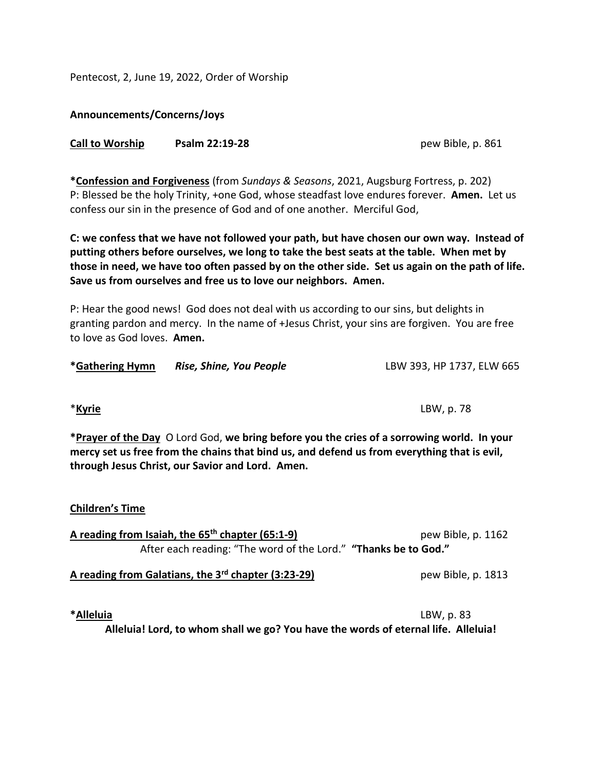Pentecost, 2, June 19, 2022, Order of Worship

## **Announcements/Concerns/Joys**

## **Call to Worship Psalm 22:19-28** pew Bible, p. 861

**\*Confession and Forgiveness** (from *Sundays & Seasons*, 2021, Augsburg Fortress, p. 202) P: Blessed be the holy Trinity, +one God, whose steadfast love endures forever. **Amen.** Let us confess our sin in the presence of God and of one another. Merciful God,

**C: we confess that we have not followed your path, but have chosen our own way. Instead of putting others before ourselves, we long to take the best seats at the table. When met by those in need, we have too often passed by on the other side. Set us again on the path of life. Save us from ourselves and free us to love our neighbors. Amen.**

P: Hear the good news! God does not deal with us according to our sins, but delights in granting pardon and mercy. In the name of +Jesus Christ, your sins are forgiven. You are free to love as God loves. **Amen.**

| *Gathering Hymn | Rise, Shine, You People | LBW 393, HP 1737, ELW 665 |
|-----------------|-------------------------|---------------------------|
|-----------------|-------------------------|---------------------------|

\***Kyrie** LBW, p. 78

**\*Prayer of the Day** O Lord God, **we bring before you the cries of a sorrowing world. In your mercy set us free from the chains that bind us, and defend us from everything that is evil, through Jesus Christ, our Savior and Lord. Amen.**

| <b>Children's Time</b>                                                                                                |                    |
|-----------------------------------------------------------------------------------------------------------------------|--------------------|
| A reading from Isaiah, the $65th$ chapter (65:1-9)<br>After each reading: "The word of the Lord." "Thanks be to God." | pew Bible, p. 1162 |
| A reading from Galatians, the 3rd chapter (3:23-29)                                                                   | pew Bible, p. 1813 |

**\*Alleluia** LBW, p. 83

**Alleluia! Lord, to whom shall we go? You have the words of eternal life. Alleluia!**